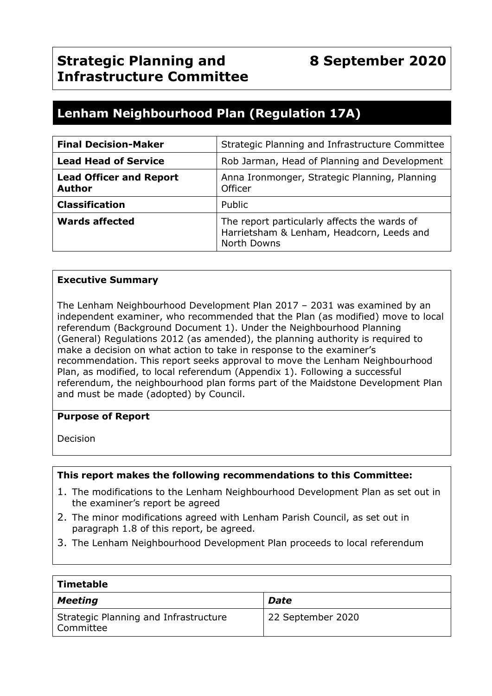# **Lenham Neighbourhood Plan (Regulation 17A)**

| <b>Final Decision-Maker</b>                     | Strategic Planning and Infrastructure Committee                                                          |  |
|-------------------------------------------------|----------------------------------------------------------------------------------------------------------|--|
| <b>Lead Head of Service</b>                     | Rob Jarman, Head of Planning and Development                                                             |  |
| <b>Lead Officer and Report</b><br><b>Author</b> | Anna Ironmonger, Strategic Planning, Planning<br>Officer                                                 |  |
| <b>Classification</b>                           | Public                                                                                                   |  |
| <b>Wards affected</b>                           | The report particularly affects the wards of<br>Harrietsham & Lenham, Headcorn, Leeds and<br>North Downs |  |

#### **Executive Summary**

The Lenham Neighbourhood Development Plan 2017 – 2031 was examined by an independent examiner, who recommended that the Plan (as modified) move to local referendum (Background Document 1). Under the Neighbourhood Planning (General) Regulations 2012 (as amended), the planning authority is required to make a decision on what action to take in response to the examiner's recommendation. This report seeks approval to move the Lenham Neighbourhood Plan, as modified, to local referendum (Appendix 1). Following a successful referendum, the neighbourhood plan forms part of the Maidstone Development Plan and must be made (adopted) by Council.

#### **Purpose of Report**

Decision

#### **This report makes the following recommendations to this Committee:**

- 1. The modifications to the Lenham Neighbourhood Development Plan as set out in the examiner's report be agreed
- 2. The minor modifications agreed with Lenham Parish Council, as set out in paragraph 1.8 of this report, be agreed.
- 3. The Lenham Neighbourhood Development Plan proceeds to local referendum

| <b>Timetable</b>                                   |                   |
|----------------------------------------------------|-------------------|
| <b>Meeting</b>                                     | <b>Date</b>       |
| Strategic Planning and Infrastructure<br>Committee | 22 September 2020 |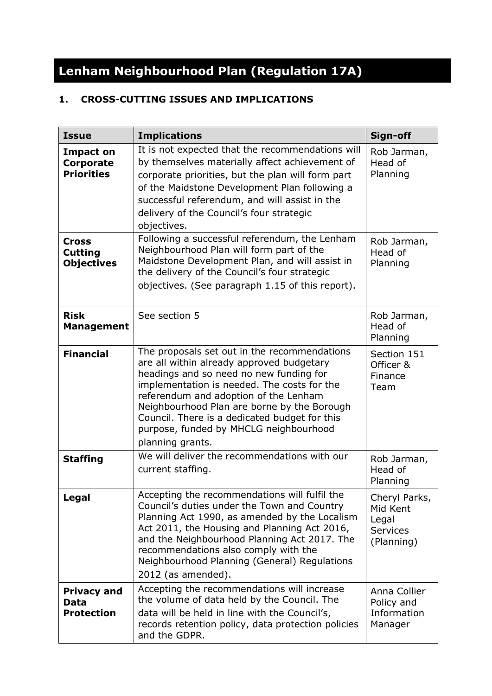# **Lenham Neighbourhood Plan (Regulation 17A)**

# **1. CROSS-CUTTING ISSUES AND IMPLICATIONS**

| <b>Issue</b>                                        | <b>Implications</b>                                                                                                                                                                                                                                                                                                                                                                        | Sign-off                                                            |
|-----------------------------------------------------|--------------------------------------------------------------------------------------------------------------------------------------------------------------------------------------------------------------------------------------------------------------------------------------------------------------------------------------------------------------------------------------------|---------------------------------------------------------------------|
| <b>Impact on</b><br>Corporate<br><b>Priorities</b>  | It is not expected that the recommendations will<br>by themselves materially affect achievement of<br>corporate priorities, but the plan will form part<br>of the Maidstone Development Plan following a<br>successful referendum, and will assist in the<br>delivery of the Council's four strategic<br>objectives.                                                                       | Rob Jarman,<br>Head of<br>Planning                                  |
| <b>Cross</b><br><b>Cutting</b><br><b>Objectives</b> | Following a successful referendum, the Lenham<br>Neighbourhood Plan will form part of the<br>Maidstone Development Plan, and will assist in<br>the delivery of the Council's four strategic<br>objectives. (See paragraph 1.15 of this report).                                                                                                                                            | Rob Jarman,<br>Head of<br>Planning                                  |
| <b>Risk</b><br><b>Management</b>                    | See section 5                                                                                                                                                                                                                                                                                                                                                                              | Rob Jarman,<br>Head of<br>Planning                                  |
| <b>Financial</b>                                    | The proposals set out in the recommendations<br>are all within already approved budgetary<br>headings and so need no new funding for<br>implementation is needed. The costs for the<br>referendum and adoption of the Lenham<br>Neighbourhood Plan are borne by the Borough<br>Council. There is a dedicated budget for this<br>purpose, funded by MHCLG neighbourhood<br>planning grants. | Section 151<br>Officer &<br>Finance<br>Team                         |
| <b>Staffing</b>                                     | We will deliver the recommendations with our<br>current staffing.                                                                                                                                                                                                                                                                                                                          | Rob Jarman,<br>Head of<br>Planning                                  |
| <b>Legal</b>                                        | Accepting the recommendations will fulfil the<br>Council's duties under the Town and Country<br>Planning Act 1990, as amended by the Localism<br>Act 2011, the Housing and Planning Act 2016,<br>and the Neighbourhood Planning Act 2017. The<br>recommendations also comply with the<br>Neighbourhood Planning (General) Regulations<br>2012 (as amended).                                | Cheryl Parks,<br>Mid Kent<br>Legal<br><b>Services</b><br>(Planning) |
| <b>Privacy and</b><br>Data<br><b>Protection</b>     | Accepting the recommendations will increase<br>the volume of data held by the Council. The<br>data will be held in line with the Council's,<br>records retention policy, data protection policies<br>and the GDPR.                                                                                                                                                                         | Anna Collier<br>Policy and<br>Information<br>Manager                |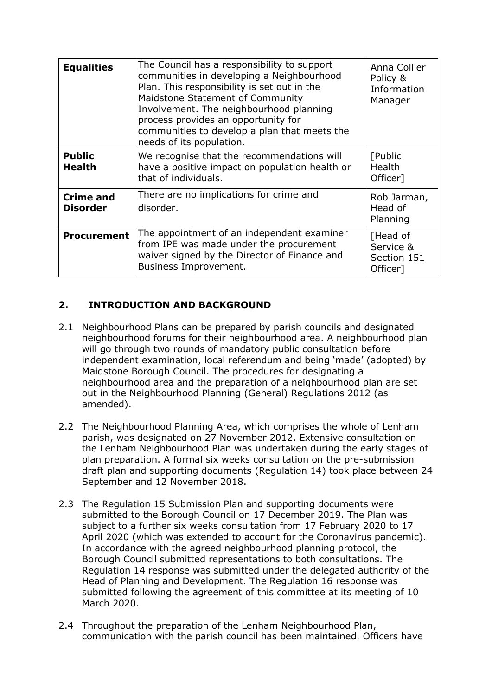| <b>Equalities</b>                   | The Council has a responsibility to support<br>communities in developing a Neighbourhood<br>Plan. This responsibility is set out in the<br>Maidstone Statement of Community<br>Involvement. The neighbourhood planning<br>process provides an opportunity for<br>communities to develop a plan that meets the<br>needs of its population. | Anna Collier<br>Policy &<br>Information<br>Manager |
|-------------------------------------|-------------------------------------------------------------------------------------------------------------------------------------------------------------------------------------------------------------------------------------------------------------------------------------------------------------------------------------------|----------------------------------------------------|
| <b>Public</b><br><b>Health</b>      | We recognise that the recommendations will<br>have a positive impact on population health or<br>that of individuals.                                                                                                                                                                                                                      | [Public<br>Health<br>Officer]                      |
| <b>Crime and</b><br><b>Disorder</b> | There are no implications for crime and<br>disorder.                                                                                                                                                                                                                                                                                      | Rob Jarman,<br>Head of<br>Planning                 |
| <b>Procurement</b>                  | The appointment of an independent examiner<br>from IPE was made under the procurement<br>waiver signed by the Director of Finance and<br>Business Improvement.                                                                                                                                                                            | [Head of<br>Service &<br>Section 151<br>Officer]   |

# **2. INTRODUCTION AND BACKGROUND**

- 2.1 Neighbourhood Plans can be prepared by parish councils and designated neighbourhood forums for their neighbourhood area. A neighbourhood plan will go through two rounds of mandatory public consultation before independent examination, local referendum and being 'made' (adopted) by Maidstone Borough Council. The procedures for designating a neighbourhood area and the preparation of a neighbourhood plan are set out in the Neighbourhood Planning (General) Regulations 2012 (as amended).
- 2.2 The Neighbourhood Planning Area, which comprises the whole of Lenham parish, was designated on 27 November 2012. Extensive consultation on the Lenham Neighbourhood Plan was undertaken during the early stages of plan preparation. A formal six weeks consultation on the pre-submission draft plan and supporting documents (Regulation 14) took place between 24 September and 12 November 2018.
- 2.3 The Regulation 15 Submission Plan and supporting documents were submitted to the Borough Council on 17 December 2019. The Plan was subject to a further six weeks consultation from 17 February 2020 to 17 April 2020 (which was extended to account for the Coronavirus pandemic). In accordance with the agreed neighbourhood planning protocol, the Borough Council submitted representations to both consultations. The Regulation 14 response was submitted under the delegated authority of the Head of Planning and Development. The Regulation 16 response was submitted following the agreement of this committee at its meeting of 10 March 2020.
- 2.4 Throughout the preparation of the Lenham Neighbourhood Plan, communication with the parish council has been maintained. Officers have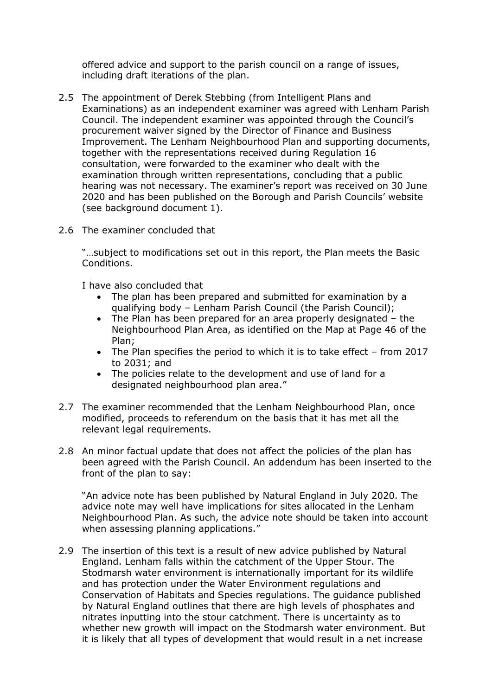offered advice and support to the parish council on a range of issues, including draft iterations of the plan.

- 2.5 The appointment of Derek Stebbing (from Intelligent Plans and Examinations) as an independent examiner was agreed with Lenham Parish Council. The independent examiner was appointed through the Council's procurement waiver signed by the Director of Finance and Business Improvement. The Lenham Neighbourhood Plan and supporting documents, together with the representations received during Regulation 16 consultation, were forwarded to the examiner who dealt with the examination through written representations, concluding that a public hearing was not necessary. The examiner's report was received on 30 June 2020 and has been published on the Borough and Parish Councils' website (see background document 1).
- 2.6 The examiner concluded that

"…subject to modifications set out in this report, the Plan meets the Basic Conditions.

I have also concluded that

- The plan has been prepared and submitted for examination by a qualifying body – Lenham Parish Council (the Parish Council);
- The Plan has been prepared for an area properly designated the Neighbourhood Plan Area, as identified on the Map at Page 46 of the Plan;
- The Plan specifies the period to which it is to take effect from 2017 to 2031; and
- The policies relate to the development and use of land for a designated neighbourhood plan area."
- 2.7 The examiner recommended that the Lenham Neighbourhood Plan, once modified, proceeds to referendum on the basis that it has met all the relevant legal requirements.
- 2.8 An minor factual update that does not affect the policies of the plan has been agreed with the Parish Council. An addendum has been inserted to the front of the plan to say:

"An advice note has been published by Natural England in July 2020. The advice note may well have implications for sites allocated in the Lenham Neighbourhood Plan. As such, the advice note should be taken into account when assessing planning applications."

2.9 The insertion of this text is a result of new advice published by Natural England. Lenham falls within the catchment of the Upper Stour. The Stodmarsh water environment is internationally important for its wildlife and has protection under the Water Environment regulations and Conservation of Habitats and Species regulations. The guidance published by Natural England outlines that there are high levels of phosphates and nitrates inputting into the stour catchment. There is uncertainty as to whether new growth will impact on the Stodmarsh water environment. But it is likely that all types of development that would result in a net increase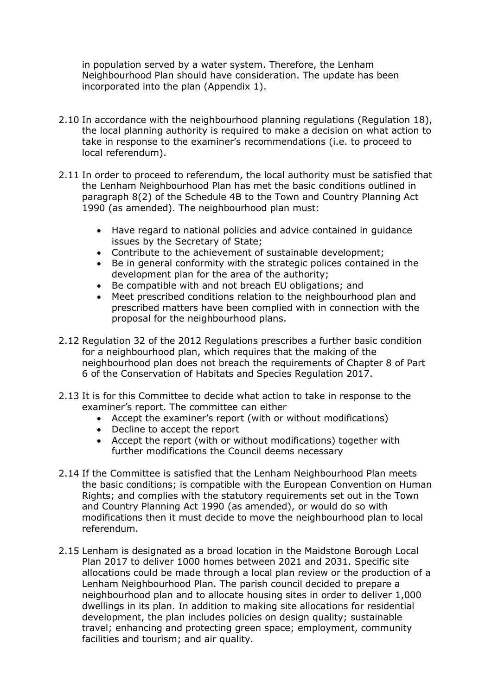in population served by a water system. Therefore, the Lenham Neighbourhood Plan should have consideration. The update has been incorporated into the plan (Appendix 1).

- 2.10 In accordance with the neighbourhood planning regulations (Regulation 18), the local planning authority is required to make a decision on what action to take in response to the examiner's recommendations (i.e. to proceed to local referendum).
- 2.11 In order to proceed to referendum, the local authority must be satisfied that the Lenham Neighbourhood Plan has met the basic conditions outlined in paragraph 8(2) of the Schedule 4B to the Town and Country Planning Act 1990 (as amended). The neighbourhood plan must:
	- Have regard to national policies and advice contained in guidance issues by the Secretary of State;
	- Contribute to the achievement of sustainable development;
	- Be in general conformity with the strategic polices contained in the development plan for the area of the authority;
	- Be compatible with and not breach EU obligations; and
	- Meet prescribed conditions relation to the neighbourhood plan and prescribed matters have been complied with in connection with the proposal for the neighbourhood plans.
- 2.12 Regulation 32 of the 2012 Regulations prescribes a further basic condition for a neighbourhood plan, which requires that the making of the neighbourhood plan does not breach the requirements of Chapter 8 of Part 6 of the Conservation of Habitats and Species Regulation 2017.
- 2.13 It is for this Committee to decide what action to take in response to the examiner's report. The committee can either
	- Accept the examiner's report (with or without modifications)
	- Decline to accept the report
	- Accept the report (with or without modifications) together with further modifications the Council deems necessary
- 2.14 If the Committee is satisfied that the Lenham Neighbourhood Plan meets the basic conditions; is compatible with the European Convention on Human Rights; and complies with the statutory requirements set out in the Town and Country Planning Act 1990 (as amended), or would do so with modifications then it must decide to move the neighbourhood plan to local referendum.
- 2.15 Lenham is designated as a broad location in the Maidstone Borough Local Plan 2017 to deliver 1000 homes between 2021 and 2031. Specific site allocations could be made through a local plan review or the production of a Lenham Neighbourhood Plan. The parish council decided to prepare a neighbourhood plan and to allocate housing sites in order to deliver 1,000 dwellings in its plan. In addition to making site allocations for residential development, the plan includes policies on design quality; sustainable travel; enhancing and protecting green space; employment, community facilities and tourism; and air quality.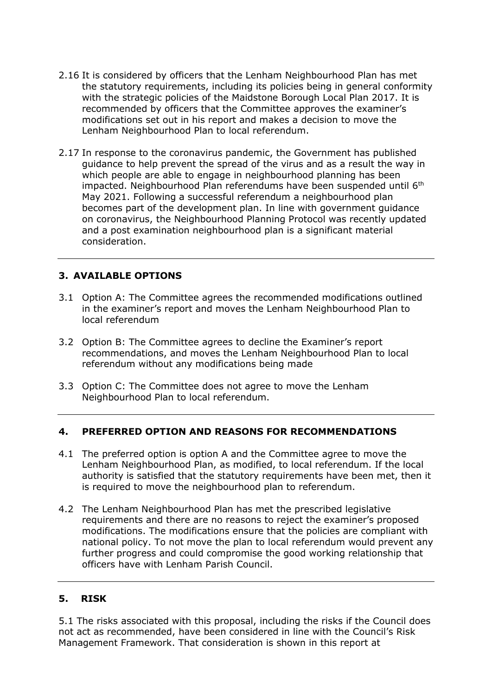- 2.16 It is considered by officers that the Lenham Neighbourhood Plan has met the statutory requirements, including its policies being in general conformity with the strategic policies of the Maidstone Borough Local Plan 2017. It is recommended by officers that the Committee approves the examiner's modifications set out in his report and makes a decision to move the Lenham Neighbourhood Plan to local referendum.
- 2.17 In response to the coronavirus pandemic, the Government has published guidance to help prevent the spread of the virus and as a result the way in which people are able to engage in neighbourhood planning has been impacted. Neighbourhood Plan referendums have been suspended until 6<sup>th</sup> May 2021. Following a successful referendum a neighbourhood plan becomes part of the development plan. In line with government guidance on coronavirus, the Neighbourhood Planning Protocol was recently updated and a post examination neighbourhood plan is a significant material consideration.

# **3. AVAILABLE OPTIONS**

- 3.1 Option A: The Committee agrees the recommended modifications outlined in the examiner's report and moves the Lenham Neighbourhood Plan to local referendum
- 3.2 Option B: The Committee agrees to decline the Examiner's report recommendations, and moves the Lenham Neighbourhood Plan to local referendum without any modifications being made
- 3.3 Option C: The Committee does not agree to move the Lenham Neighbourhood Plan to local referendum.

# **4. PREFERRED OPTION AND REASONS FOR RECOMMENDATIONS**

- 4.1 The preferred option is option A and the Committee agree to move the Lenham Neighbourhood Plan, as modified, to local referendum. If the local authority is satisfied that the statutory requirements have been met, then it is required to move the neighbourhood plan to referendum.
- 4.2 The Lenham Neighbourhood Plan has met the prescribed legislative requirements and there are no reasons to reject the examiner's proposed modifications. The modifications ensure that the policies are compliant with national policy. To not move the plan to local referendum would prevent any further progress and could compromise the good working relationship that officers have with Lenham Parish Council.

#### **5. RISK**

5.1 The risks associated with this proposal, including the risks if the Council does not act as recommended, have been considered in line with the Council's Risk Management Framework. That consideration is shown in this report at